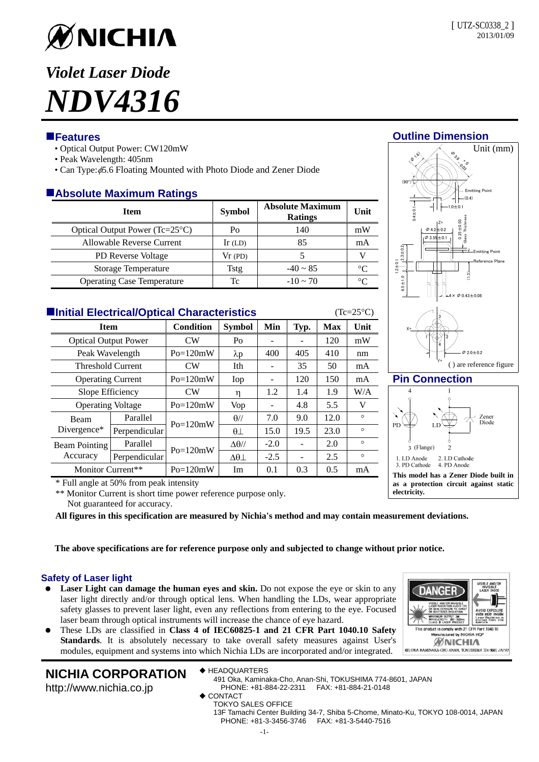

# *Violet Laser Diode NDV4316*

## **Features**

- Optical Output Power: CW120mW
- Peak Wavelength: 405nm
- Can Type:  $\phi$ 5.6 Floating Mounted with Photo Diode and Zener Diode

## **Absolute Maximum Ratings**

| <b>Item</b>                       | <b>Symbol</b> | <b>Absolute Maximum</b><br><b>Ratings</b> | Unit     |
|-----------------------------------|---------------|-------------------------------------------|----------|
| Optical Output Power (Tc=25°C)    | Po            | 140                                       | mW       |
| Allowable Reverse Current         | $Ir$ (LD)     | 85                                        | mA       |
| <b>PD</b> Reverse Voltage         | $Vr$ (PD)     |                                           |          |
| Storage Temperature               | Tstg          | $-40 \sim 85$                             | $\Gamma$ |
| <b>Operating Case Temperature</b> | Тc            | $-10 \sim 70$                             | °∩       |

| <b>Hinitial Electrical/Optical Characteristics</b><br>$(Tc=25\textdegree C)$ |               |            |                     |        |                          |            |         |  |  |
|------------------------------------------------------------------------------|---------------|------------|---------------------|--------|--------------------------|------------|---------|--|--|
| <b>Item</b>                                                                  |               | Condition  | <b>Symbol</b>       | Min    | Typ.                     | <b>Max</b> | Unit    |  |  |
| <b>Optical Output Power</b>                                                  |               | <b>CW</b>  | Po                  |        |                          | 120        | mW      |  |  |
| Peak Wavelength                                                              |               | $Po=120mW$ | $\lambda p$         | 400    | 405                      | 410        | nm      |  |  |
| <b>Threshold Current</b>                                                     |               | CW         | Ith                 |        | 35                       | 50         | mA      |  |  |
| <b>Operating Current</b>                                                     |               | $Po=120mW$ | Iop                 |        | 120                      | 150        | mA      |  |  |
| Slope Efficiency                                                             |               | CW         | η                   | 1.2    | 1.4                      | 1.9        | W/A     |  |  |
| <b>Operating Voltage</b>                                                     |               | $Po=120mW$ | Vop                 |        | 4.8                      | 5.5        | V       |  |  |
| <b>Beam</b><br>Divergence*                                                   | Parallel      | $Po=120mW$ | $\theta$ //         | 7.0    | 9.0                      | 12.0       | $\circ$ |  |  |
|                                                                              | Perpendicular |            | $\theta$            | 15.0   | 19.5                     | 23.0       | $\circ$ |  |  |
| <b>Beam Pointing</b><br>Accuracy                                             | Parallel      | $Po=120mW$ | $\Delta\theta$ //   | $-2.0$ |                          | 2.0        | $\circ$ |  |  |
|                                                                              | Perpendicular |            | $\Delta\theta\perp$ | $-2.5$ | $\overline{\phantom{a}}$ | 2.5        | $\circ$ |  |  |
| Monitor Current**                                                            |               | $Po=120mW$ | Im                  | 0.1    | 0.3                      | 0.5        | mA      |  |  |

\* Full angle at 50% from peak intensity

\*\* Monitor Current is short time power reference purpose only. Not guaranteed for accuracy.

**All figures in this specification are measured by Nichia's method and may contain measurement deviations.** 

**The above specifications are for reference purpose only and subjected to change without prior notice.** 

## **Safety of Laser light**

- Laser Light can damage the human eyes and skin. Do not expose the eye or skin to any laser light directly and/or through optical lens. When handling the LDs, wear appropriate safety glasses to prevent laser light, even any reflections from entering to the eye. Focused laser beam through optical instruments will increase the chance of eye hazard.
- These LDs are classified in **Class 4 of IEC60825-1 and 21 CFR Part 1040.10 Safety Standards**. It is absolutely necessary to take overall safety measures against User's modules, equipment and systems into which Nichia LDs are incorporated and/or integrated.

# **NICHIA CORPORATION**

◆ HEADQUARTERS

http://www.nichia.co.jp

- 491 Oka, Kaminaka-Cho, Anan-Shi, TOKUSHIMA 774-8601, JAPAN PHONE: +81-884-22-2311 FAX: +81-884-21-0148
- ◆ CONTACT
	- TOKYO SALES OFFICE 13F Tamachi Center Building 34-7, Shiba 5-Chome, Minato-Ku, TOKYO 108-0014, JAPAN PHONE: +81-3-3456-3746 FAX: +81-3-5440-7516





#### **Pin Connection**



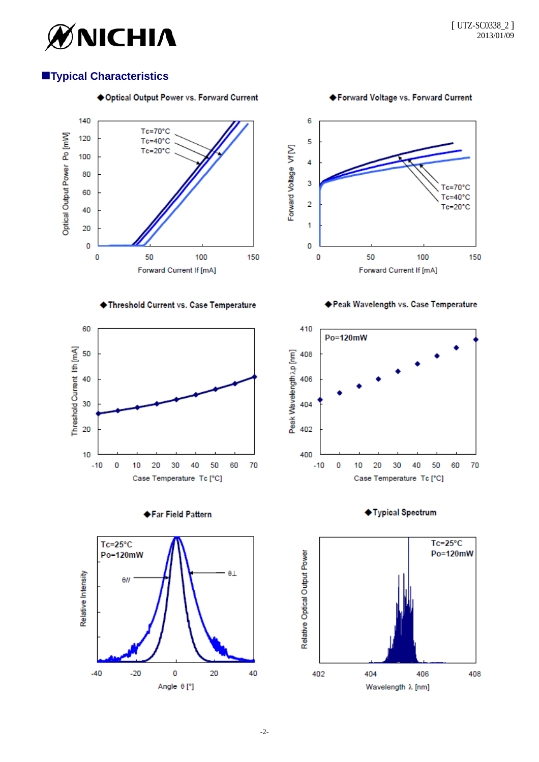

## **Typical Characteristics**



◆Forward Voltage vs. Forward Current





Threshold Current vs. Case Temperature











◆ Typical Spectrum